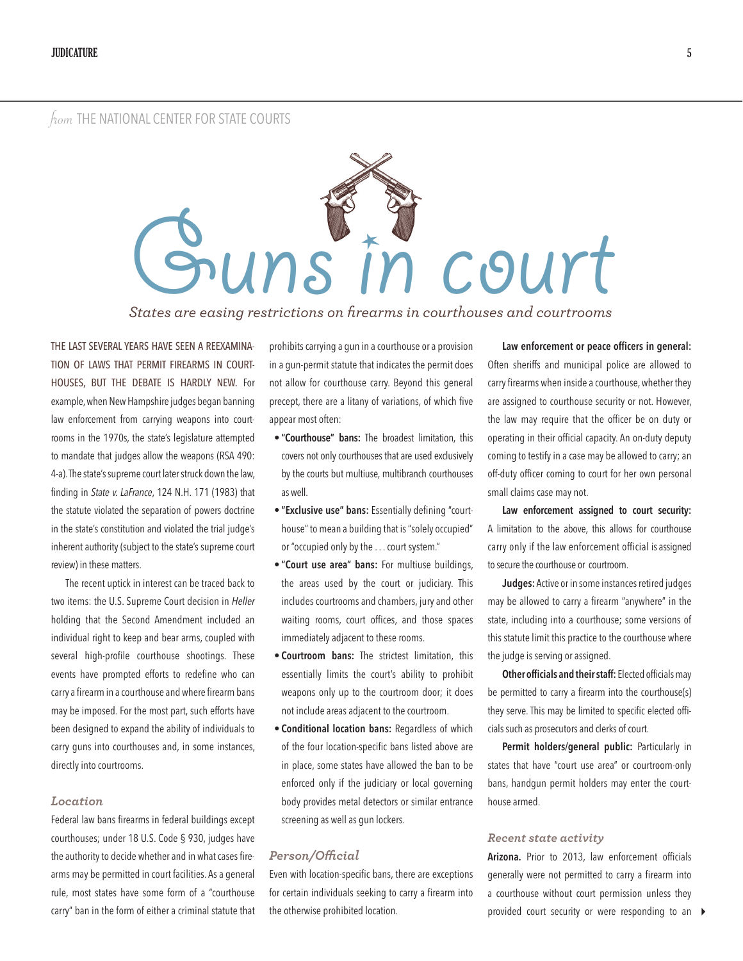# from THE NATIONAL CENTER FOR STATE COURTS



*States are easing restrictions on firearms in courthouses and courtrooms*

THE LAST SEVERAL YEARS HAVE SEEN A REEXAMINA-TION OF LAWS THAT PERMIT FIREARMS IN COURT-HOUSES, BUT THE DEBATE IS HARDLY NEW. For example, when New Hampshire judges began banning law enforcement from carrying weapons into courtrooms in the 1970s, the state's legislature attempted to mandate that judges allow the weapons (RSA 490: 4-a). The state's supreme court later struck down the law, finding in *State v. LaFrance*, 124 N.H. 171 (1983) that the statute violated the separation of powers doctrine in the state's constitution and violated the trial judge's inherent authority (subject to the state's supreme court review) in these matters.

The recent uptick in interest can be traced back to two items: the U.S. Supreme Court decision in *Heller* holding that the Second Amendment included an individual right to keep and bear arms, coupled with several high-profile courthouse shootings. These events have prompted efforts to redefine who can carry a firearm in a courthouse and where firearm bans may be imposed. For the most part, such efforts have been designed to expand the ability of individuals to carry guns into courthouses and, in some instances, directly into courtrooms.

## *Location*

Federal law bans firearms in federal buildings except courthouses; under 18 U.S. Code § 930, judges have the authority to decide whether and in what cases firearms may be permitted in court facilities. As a general rule, most states have some form of a "courthouse carry" ban in the form of either a criminal statute that prohibits carrying a gun in a courthouse or a provision in a gun-permit statute that indicates the permit does not allow for courthouse carry. Beyond this general precept, there are a litany of variations, of which five appear most often:

- **• "Courthouse" bans:** The broadest limitation, this covers not only courthouses that are used exclusively by the courts but multiuse, multibranch courthouses as well.
- **• "Exclusive use" bans:** Essentially defining "courthouse" to mean a building that is "solely occupied" or "occupied only by the . . . court system."
- **• "Court use area" bans:** For multiuse buildings, the areas used by the court or judiciary. This includes courtrooms and chambers, jury and other waiting rooms, court offices, and those spaces immediately adjacent to these rooms.
- **• Courtroom bans:** The strictest limitation, this essentially limits the court's ability to prohibit weapons only up to the courtroom door; it does not include areas adjacent to the courtroom.
- **• Conditional location bans:** Regardless of which of the four location-specific bans listed above are in place, some states have allowed the ban to be enforced only if the judiciary or local governing body provides metal detectors or similar entrance screening as well as gun lockers.

### *Person/Official*

Even with location-specific bans, there are exceptions for certain individuals seeking to carry a firearm into the otherwise prohibited location.

**Law enforcement or peace officers in general:**  Often sheriffs and municipal police are allowed to carry firearms when inside a courthouse, whether they are assigned to courthouse security or not. However, the law may require that the officer be on duty or operating in their official capacity. An on-duty deputy coming to testify in a case may be allowed to carry; an off-duty officer coming to court for her own personal small claims case may not.

**Law enforcement assigned to court security:** A limitation to the above, this allows for courthouse carry only if the law enforcement official is assigned to secure the courthouse or courtroom.

**Judges:** Active or in some instances retired judges may be allowed to carry a firearm "anywhere" in the state, including into a courthouse; some versions of this statute limit this practice to the courthouse where the judge is serving or assigned.

**Other officials and their staff:** Elected officials may be permitted to carry a firearm into the courthouse(s) they serve. This may be limited to specific elected officials such as prosecutors and clerks of court.

Permit holders/general public: Particularly in states that have "court use area" or courtroom-only bans, handgun permit holders may enter the courthouse armed.

### *Recent state activity*

**Arizona.** Prior to 2013, law enforcement officials generally were not permitted to carry a firearm into a courthouse without court permission unless they provided court security or were responding to an 4